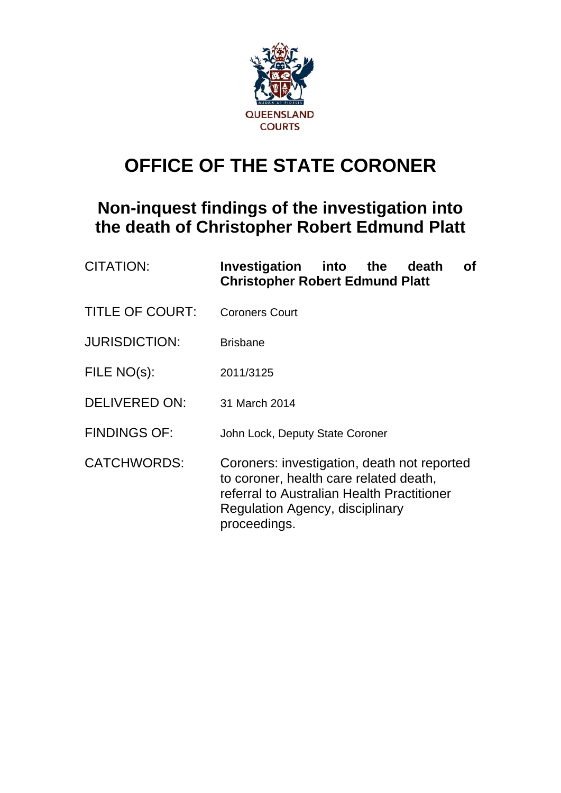

# **OFFICE OF THE STATE CORONER**

## **Non-inquest findings of the investigation into the death of Christopher Robert Edmund Platt**

| <b>CITATION:</b>       | Investigation into the<br>Οf<br>death<br><b>Christopher Robert Edmund Platt</b>                                                                                                        |
|------------------------|----------------------------------------------------------------------------------------------------------------------------------------------------------------------------------------|
| <b>TITLE OF COURT:</b> | <b>Coroners Court</b>                                                                                                                                                                  |
| <b>JURISDICTION:</b>   | <b>Brisbane</b>                                                                                                                                                                        |
| FILE NO(s):            | 2011/3125                                                                                                                                                                              |
| <b>DELIVERED ON:</b>   | 31 March 2014                                                                                                                                                                          |
| <b>FINDINGS OF:</b>    | John Lock, Deputy State Coroner                                                                                                                                                        |
| <b>CATCHWORDS:</b>     | Coroners: investigation, death not reported<br>to coroner, health care related death,<br>referral to Australian Health Practitioner<br>Regulation Agency, disciplinary<br>proceedings. |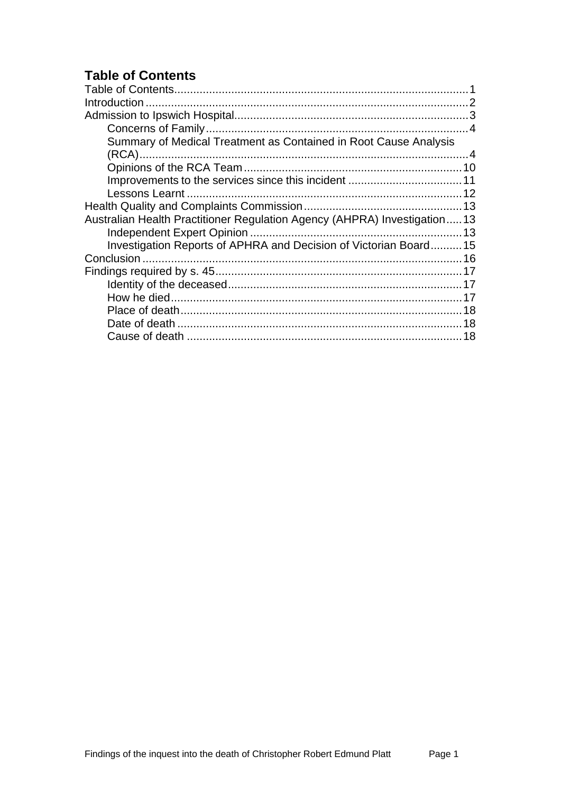## <span id="page-1-0"></span>**Table of Contents**

| Summary of Medical Treatment as Contained in Root Cause Analysis         |  |
|--------------------------------------------------------------------------|--|
|                                                                          |  |
|                                                                          |  |
|                                                                          |  |
|                                                                          |  |
|                                                                          |  |
| Australian Health Practitioner Regulation Agency (AHPRA) Investigation13 |  |
|                                                                          |  |
| Investigation Reports of APHRA and Decision of Victorian Board15         |  |
|                                                                          |  |
|                                                                          |  |
|                                                                          |  |
|                                                                          |  |
|                                                                          |  |
|                                                                          |  |
|                                                                          |  |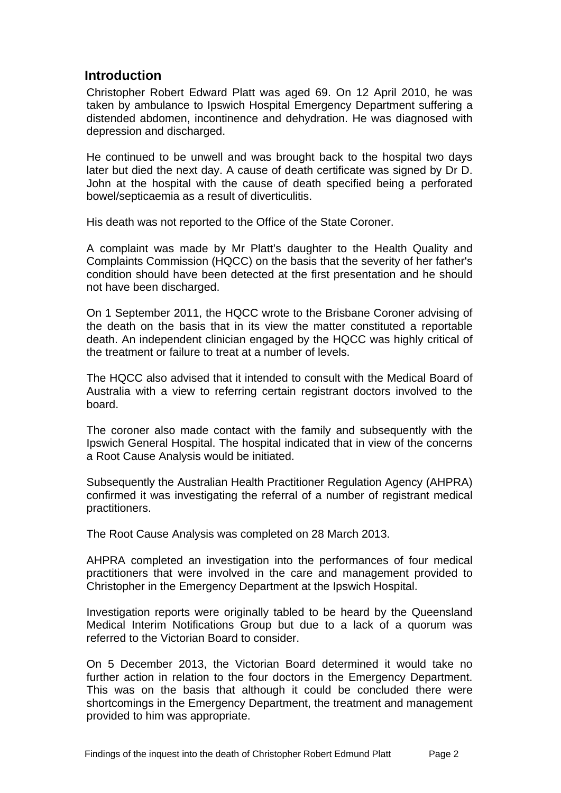## <span id="page-2-0"></span>**Introduction**

Christopher Robert Edward Platt was aged 69. On 12 April 2010, he was taken by ambulance to Ipswich Hospital Emergency Department suffering a distended abdomen, incontinence and dehydration. He was diagnosed with depression and discharged.

He continued to be unwell and was brought back to the hospital two days later but died the next day. A cause of death certificate was signed by Dr D. John at the hospital with the cause of death specified being a perforated bowel/septicaemia as a result of diverticulitis.

His death was not reported to the Office of the State Coroner.

A complaint was made by Mr Platt's daughter to the Health Quality and Complaints Commission (HQCC) on the basis that the severity of her father's condition should have been detected at the first presentation and he should not have been discharged.

On 1 September 2011, the HQCC wrote to the Brisbane Coroner advising of the death on the basis that in its view the matter constituted a reportable death. An independent clinician engaged by the HQCC was highly critical of the treatment or failure to treat at a number of levels.

The HQCC also advised that it intended to consult with the Medical Board of Australia with a view to referring certain registrant doctors involved to the board.

The coroner also made contact with the family and subsequently with the Ipswich General Hospital. The hospital indicated that in view of the concerns a Root Cause Analysis would be initiated.

Subsequently the Australian Health Practitioner Regulation Agency (AHPRA) confirmed it was investigating the referral of a number of registrant medical practitioners.

The Root Cause Analysis was completed on 28 March 2013.

AHPRA completed an investigation into the performances of four medical practitioners that were involved in the care and management provided to Christopher in the Emergency Department at the Ipswich Hospital.

Investigation reports were originally tabled to be heard by the Queensland Medical Interim Notifications Group but due to a lack of a quorum was referred to the Victorian Board to consider.

On 5 December 2013, the Victorian Board determined it would take no further action in relation to the four doctors in the Emergency Department. This was on the basis that although it could be concluded there were shortcomings in the Emergency Department, the treatment and management provided to him was appropriate.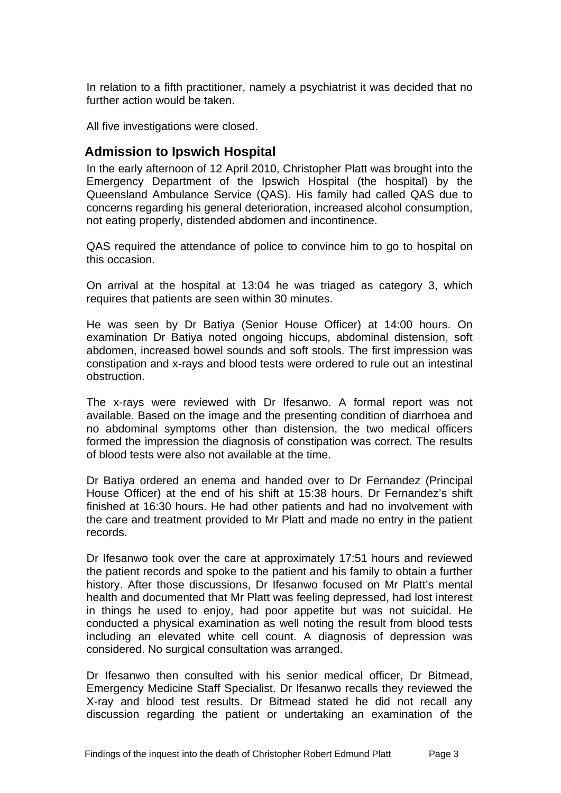In relation to a fifth practitioner, namely a psychiatrist it was decided that no further action would be taken.

All five investigations were closed.

## <span id="page-3-0"></span>**Admission to Ipswich Hospital**

In the early afternoon of 12 April 2010, Christopher Platt was brought into the Emergency Department of the Ipswich Hospital (the hospital) by the Queensland Ambulance Service (QAS). His family had called QAS due to concerns regarding his general deterioration, increased alcohol consumption, not eating properly, distended abdomen and incontinence.

QAS required the attendance of police to convince him to go to hospital on this occasion.

On arrival at the hospital at 13:04 he was triaged as category 3, which requires that patients are seen within 30 minutes.

He was seen by Dr Batiya (Senior House Officer) at 14:00 hours. On examination Dr Batiya noted ongoing hiccups, abdominal distension, soft abdomen, increased bowel sounds and soft stools. The first impression was constipation and x-rays and blood tests were ordered to rule out an intestinal obstruction.

The x-rays were reviewed with Dr Ifesanwo. A formal report was not available. Based on the image and the presenting condition of diarrhoea and no abdominal symptoms other than distension, the two medical officers formed the impression the diagnosis of constipation was correct. The results of blood tests were also not available at the time.

Dr Batiya ordered an enema and handed over to Dr Fernandez (Principal House Officer) at the end of his shift at 15:38 hours. Dr Fernandez's shift finished at 16:30 hours. He had other patients and had no involvement with the care and treatment provided to Mr Platt and made no entry in the patient records.

Dr Ifesanwo took over the care at approximately 17:51 hours and reviewed the patient records and spoke to the patient and his family to obtain a further history. After those discussions, Dr Ifesanwo focused on Mr Platt's mental health and documented that Mr Platt was feeling depressed, had lost interest in things he used to enjoy, had poor appetite but was not suicidal. He conducted a physical examination as well noting the result from blood tests including an elevated white cell count. A diagnosis of depression was considered. No surgical consultation was arranged.

Dr Ifesanwo then consulted with his senior medical officer, Dr Bitmead, Emergency Medicine Staff Specialist. Dr Ifesanwo recalls they reviewed the X-ray and blood test results. Dr Bitmead stated he did not recall any discussion regarding the patient or undertaking an examination of the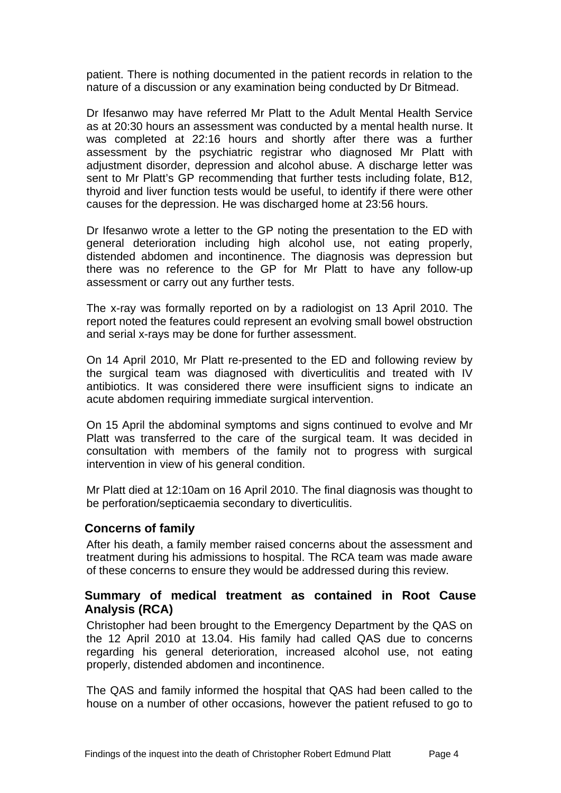patient. There is nothing documented in the patient records in relation to the nature of a discussion or any examination being conducted by Dr Bitmead.

Dr Ifesanwo may have referred Mr Platt to the Adult Mental Health Service as at 20:30 hours an assessment was conducted by a mental health nurse. It was completed at 22:16 hours and shortly after there was a further assessment by the psychiatric registrar who diagnosed Mr Platt with adjustment disorder, depression and alcohol abuse. A discharge letter was sent to Mr Platt's GP recommending that further tests including folate, B12, thyroid and liver function tests would be useful, to identify if there were other causes for the depression. He was discharged home at 23:56 hours.

Dr Ifesanwo wrote a letter to the GP noting the presentation to the ED with general deterioration including high alcohol use, not eating properly, distended abdomen and incontinence. The diagnosis was depression but there was no reference to the GP for Mr Platt to have any follow-up assessment or carry out any further tests.

The x-ray was formally reported on by a radiologist on 13 April 2010. The report noted the features could represent an evolving small bowel obstruction and serial x-rays may be done for further assessment.

On 14 April 2010, Mr Platt re-presented to the ED and following review by the surgical team was diagnosed with diverticulitis and treated with IV antibiotics. It was considered there were insufficient signs to indicate an acute abdomen requiring immediate surgical intervention.

On 15 April the abdominal symptoms and signs continued to evolve and Mr Platt was transferred to the care of the surgical team. It was decided in consultation with members of the family not to progress with surgical intervention in view of his general condition.

Mr Platt died at 12:10am on 16 April 2010. The final diagnosis was thought to be perforation/septicaemia secondary to diverticulitis.

#### <span id="page-4-0"></span>**Concerns of family**

After his death, a family member raised concerns about the assessment and treatment during his admissions to hospital. The RCA team was made aware of these concerns to ensure they would be addressed during this review.

## <span id="page-4-1"></span>**Summary of medical treatment as contained in Root Cause Analysis (RCA)**

Christopher had been brought to the Emergency Department by the QAS on the 12 April 2010 at 13.04. His family had called QAS due to concerns regarding his general deterioration, increased alcohol use, not eating properly, distended abdomen and incontinence.

The QAS and family informed the hospital that QAS had been called to the house on a number of other occasions, however the patient refused to go to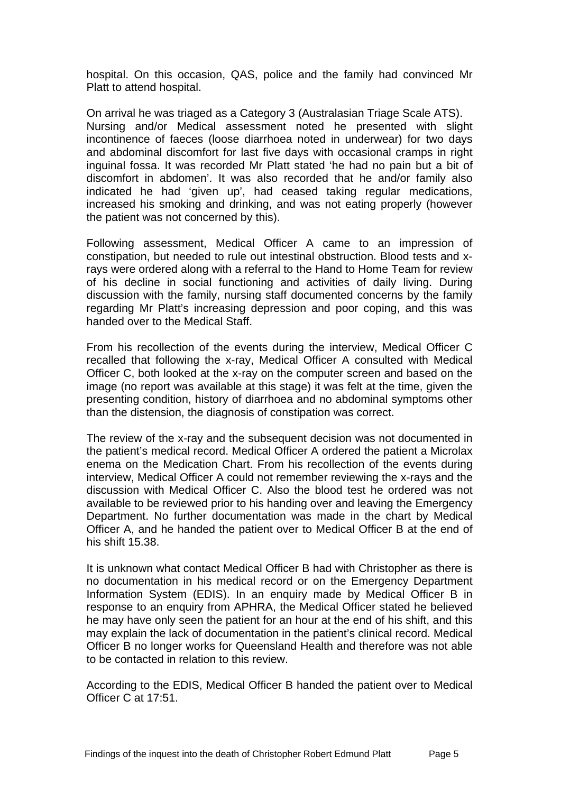hospital. On this occasion, QAS, police and the family had convinced Mr Platt to attend hospital.

On arrival he was triaged as a Category 3 (Australasian Triage Scale ATS). Nursing and/or Medical assessment noted he presented with slight incontinence of faeces (loose diarrhoea noted in underwear) for two days and abdominal discomfort for last five days with occasional cramps in right inguinal fossa. It was recorded Mr Platt stated 'he had no pain but a bit of discomfort in abdomen'. It was also recorded that he and/or family also indicated he had 'given up', had ceased taking regular medications, increased his smoking and drinking, and was not eating properly (however the patient was not concerned by this).

Following assessment, Medical Officer A came to an impression of constipation, but needed to rule out intestinal obstruction. Blood tests and xrays were ordered along with a referral to the Hand to Home Team for review of his decline in social functioning and activities of daily living. During discussion with the family, nursing staff documented concerns by the family regarding Mr Platt's increasing depression and poor coping, and this was handed over to the Medical Staff.

From his recollection of the events during the interview, Medical Officer C recalled that following the x-ray, Medical Officer A consulted with Medical Officer C, both looked at the x-ray on the computer screen and based on the image (no report was available at this stage) it was felt at the time, given the presenting condition, history of diarrhoea and no abdominal symptoms other than the distension, the diagnosis of constipation was correct.

The review of the x-ray and the subsequent decision was not documented in the patient's medical record. Medical Officer A ordered the patient a Microlax enema on the Medication Chart. From his recollection of the events during interview, Medical Officer A could not remember reviewing the x-rays and the discussion with Medical Officer C. Also the blood test he ordered was not available to be reviewed prior to his handing over and leaving the Emergency Department. No further documentation was made in the chart by Medical Officer A, and he handed the patient over to Medical Officer B at the end of his shift 15.38.

It is unknown what contact Medical Officer B had with Christopher as there is no documentation in his medical record or on the Emergency Department Information System (EDIS). In an enquiry made by Medical Officer B in response to an enquiry from APHRA, the Medical Officer stated he believed he may have only seen the patient for an hour at the end of his shift, and this may explain the lack of documentation in the patient's clinical record. Medical Officer B no longer works for Queensland Health and therefore was not able to be contacted in relation to this review.

According to the EDIS, Medical Officer B handed the patient over to Medical Officer C at 17:51.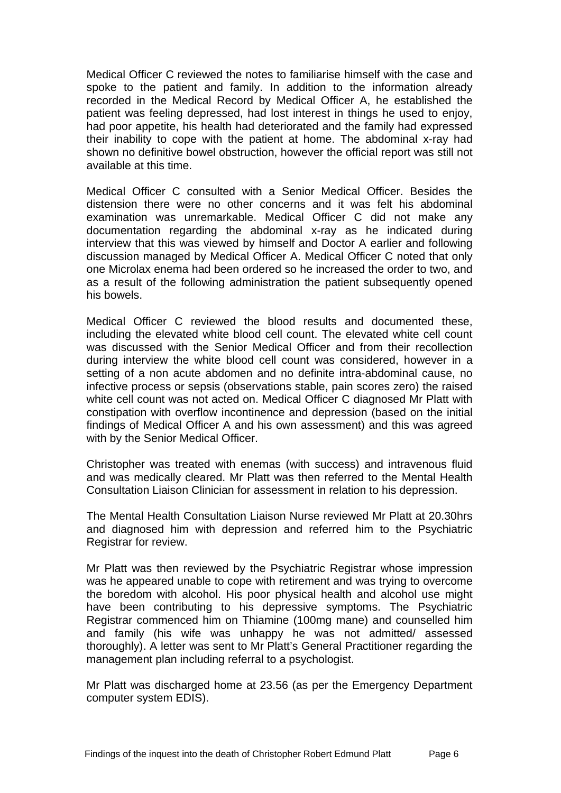Medical Officer C reviewed the notes to familiarise himself with the case and spoke to the patient and family. In addition to the information already recorded in the Medical Record by Medical Officer A, he established the patient was feeling depressed, had lost interest in things he used to enjoy, had poor appetite, his health had deteriorated and the family had expressed their inability to cope with the patient at home. The abdominal x-ray had shown no definitive bowel obstruction, however the official report was still not available at this time.

Medical Officer C consulted with a Senior Medical Officer. Besides the distension there were no other concerns and it was felt his abdominal examination was unremarkable. Medical Officer C did not make any documentation regarding the abdominal x-ray as he indicated during interview that this was viewed by himself and Doctor A earlier and following discussion managed by Medical Officer A. Medical Officer C noted that only one Microlax enema had been ordered so he increased the order to two, and as a result of the following administration the patient subsequently opened his bowels.

Medical Officer C reviewed the blood results and documented these, including the elevated white blood cell count. The elevated white cell count was discussed with the Senior Medical Officer and from their recollection during interview the white blood cell count was considered, however in a setting of a non acute abdomen and no definite intra-abdominal cause, no infective process or sepsis (observations stable, pain scores zero) the raised white cell count was not acted on. Medical Officer C diagnosed Mr Platt with constipation with overflow incontinence and depression (based on the initial findings of Medical Officer A and his own assessment) and this was agreed with by the Senior Medical Officer.

Christopher was treated with enemas (with success) and intravenous fluid and was medically cleared. Mr Platt was then referred to the Mental Health Consultation Liaison Clinician for assessment in relation to his depression.

The Mental Health Consultation Liaison Nurse reviewed Mr Platt at 20.30hrs and diagnosed him with depression and referred him to the Psychiatric Registrar for review.

Mr Platt was then reviewed by the Psychiatric Registrar whose impression was he appeared unable to cope with retirement and was trying to overcome the boredom with alcohol. His poor physical health and alcohol use might have been contributing to his depressive symptoms. The Psychiatric Registrar commenced him on Thiamine (100mg mane) and counselled him and family (his wife was unhappy he was not admitted/ assessed thoroughly). A letter was sent to Mr Platt's General Practitioner regarding the management plan including referral to a psychologist.

Mr Platt was discharged home at 23.56 (as per the Emergency Department computer system EDIS).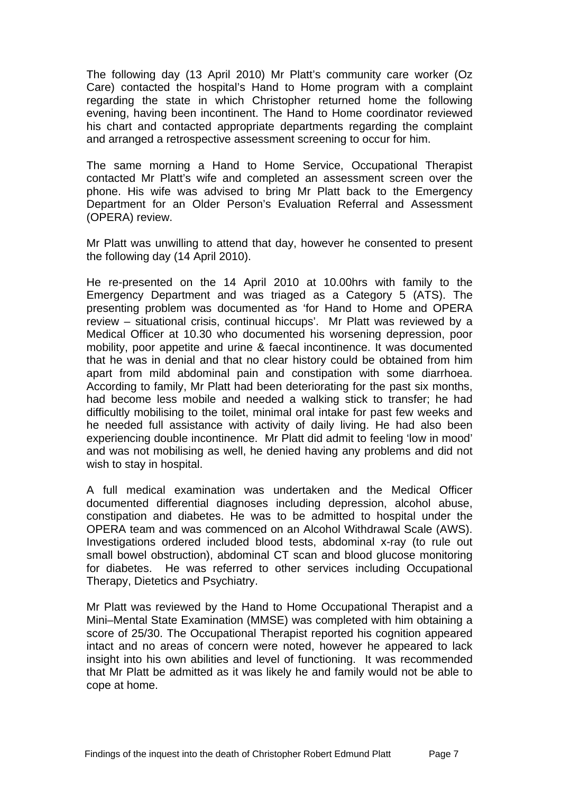The following day (13 April 2010) Mr Platt's community care worker (Oz Care) contacted the hospital's Hand to Home program with a complaint regarding the state in which Christopher returned home the following evening, having been incontinent. The Hand to Home coordinator reviewed his chart and contacted appropriate departments regarding the complaint and arranged a retrospective assessment screening to occur for him.

The same morning a Hand to Home Service, Occupational Therapist contacted Mr Platt's wife and completed an assessment screen over the phone. His wife was advised to bring Mr Platt back to the Emergency Department for an Older Person's Evaluation Referral and Assessment (OPERA) review.

Mr Platt was unwilling to attend that day, however he consented to present the following day (14 April 2010).

He re-presented on the 14 April 2010 at 10.00hrs with family to the Emergency Department and was triaged as a Category 5 (ATS). The presenting problem was documented as 'for Hand to Home and OPERA review – situational crisis, continual hiccups'. Mr Platt was reviewed by a Medical Officer at 10.30 who documented his worsening depression, poor mobility, poor appetite and urine & faecal incontinence. It was documented that he was in denial and that no clear history could be obtained from him apart from mild abdominal pain and constipation with some diarrhoea. According to family, Mr Platt had been deteriorating for the past six months, had become less mobile and needed a walking stick to transfer; he had difficultly mobilising to the toilet, minimal oral intake for past few weeks and he needed full assistance with activity of daily living. He had also been experiencing double incontinence. Mr Platt did admit to feeling 'low in mood' and was not mobilising as well, he denied having any problems and did not wish to stay in hospital.

A full medical examination was undertaken and the Medical Officer documented differential diagnoses including depression, alcohol abuse, constipation and diabetes. He was to be admitted to hospital under the OPERA team and was commenced on an Alcohol Withdrawal Scale (AWS). Investigations ordered included blood tests, abdominal x-ray (to rule out small bowel obstruction), abdominal CT scan and blood glucose monitoring for diabetes. He was referred to other services including Occupational Therapy, Dietetics and Psychiatry.

Mr Platt was reviewed by the Hand to Home Occupational Therapist and a Mini–Mental State Examination (MMSE) was completed with him obtaining a score of 25/30. The Occupational Therapist reported his cognition appeared intact and no areas of concern were noted, however he appeared to lack insight into his own abilities and level of functioning. It was recommended that Mr Platt be admitted as it was likely he and family would not be able to cope at home.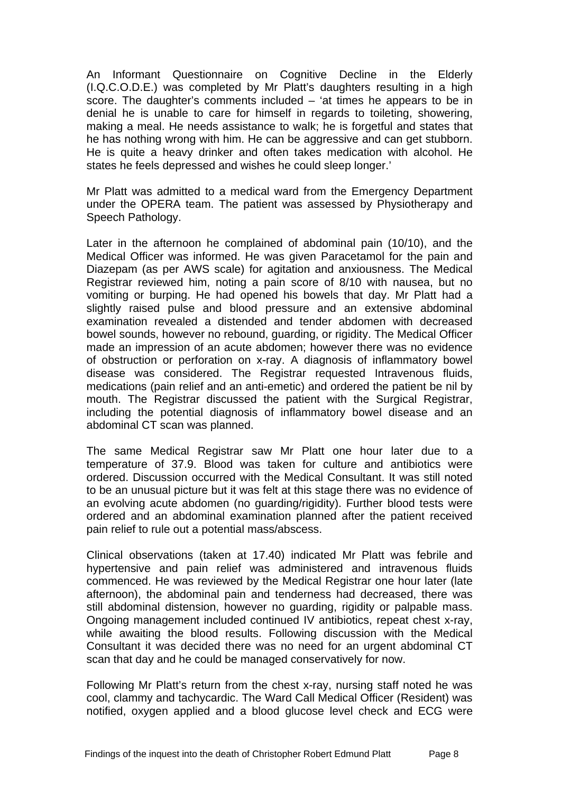An Informant Questionnaire on Cognitive Decline in the Elderly (I.Q.C.O.D.E.) was completed by Mr Platt's daughters resulting in a high score. The daughter's comments included – 'at times he appears to be in denial he is unable to care for himself in regards to toileting, showering, making a meal. He needs assistance to walk; he is forgetful and states that he has nothing wrong with him. He can be aggressive and can get stubborn. He is quite a heavy drinker and often takes medication with alcohol. He states he feels depressed and wishes he could sleep longer.'

Mr Platt was admitted to a medical ward from the Emergency Department under the OPERA team. The patient was assessed by Physiotherapy and Speech Pathology.

Later in the afternoon he complained of abdominal pain (10/10), and the Medical Officer was informed. He was given Paracetamol for the pain and Diazepam (as per AWS scale) for agitation and anxiousness. The Medical Registrar reviewed him, noting a pain score of 8/10 with nausea, but no vomiting or burping. He had opened his bowels that day. Mr Platt had a slightly raised pulse and blood pressure and an extensive abdominal examination revealed a distended and tender abdomen with decreased bowel sounds, however no rebound, guarding, or rigidity. The Medical Officer made an impression of an acute abdomen; however there was no evidence of obstruction or perforation on x-ray. A diagnosis of inflammatory bowel disease was considered. The Registrar requested Intravenous fluids, medications (pain relief and an anti-emetic) and ordered the patient be nil by mouth. The Registrar discussed the patient with the Surgical Registrar, including the potential diagnosis of inflammatory bowel disease and an abdominal CT scan was planned.

The same Medical Registrar saw Mr Platt one hour later due to a temperature of 37.9. Blood was taken for culture and antibiotics were ordered. Discussion occurred with the Medical Consultant. It was still noted to be an unusual picture but it was felt at this stage there was no evidence of an evolving acute abdomen (no guarding/rigidity). Further blood tests were ordered and an abdominal examination planned after the patient received pain relief to rule out a potential mass/abscess.

Clinical observations (taken at 17.40) indicated Mr Platt was febrile and hypertensive and pain relief was administered and intravenous fluids commenced. He was reviewed by the Medical Registrar one hour later (late afternoon), the abdominal pain and tenderness had decreased, there was still abdominal distension, however no guarding, rigidity or palpable mass. Ongoing management included continued IV antibiotics, repeat chest x-ray, while awaiting the blood results. Following discussion with the Medical Consultant it was decided there was no need for an urgent abdominal CT scan that day and he could be managed conservatively for now.

Following Mr Platt's return from the chest x-ray, nursing staff noted he was cool, clammy and tachycardic. The Ward Call Medical Officer (Resident) was notified, oxygen applied and a blood glucose level check and ECG were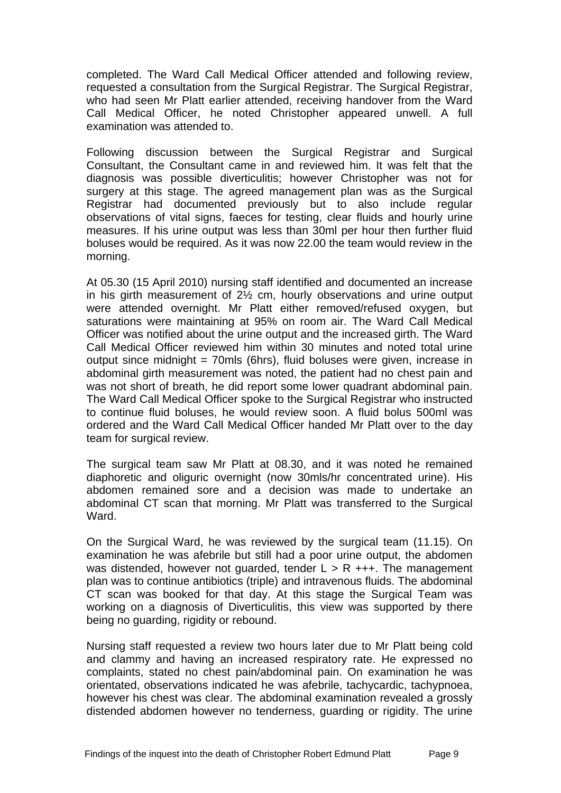completed. The Ward Call Medical Officer attended and following review, requested a consultation from the Surgical Registrar. The Surgical Registrar, who had seen Mr Platt earlier attended, receiving handover from the Ward Call Medical Officer, he noted Christopher appeared unwell. A full examination was attended to.

Following discussion between the Surgical Registrar and Surgical Consultant, the Consultant came in and reviewed him. It was felt that the diagnosis was possible diverticulitis; however Christopher was not for surgery at this stage. The agreed management plan was as the Surgical Registrar had documented previously but to also include regular observations of vital signs, faeces for testing, clear fluids and hourly urine measures. If his urine output was less than 30ml per hour then further fluid boluses would be required. As it was now 22.00 the team would review in the morning.

At 05.30 (15 April 2010) nursing staff identified and documented an increase in his girth measurement of 2½ cm, hourly observations and urine output were attended overnight. Mr Platt either removed/refused oxygen, but saturations were maintaining at 95% on room air. The Ward Call Medical Officer was notified about the urine output and the increased girth. The Ward Call Medical Officer reviewed him within 30 minutes and noted total urine output since midnight = 70mls (6hrs), fluid boluses were given, increase in abdominal girth measurement was noted, the patient had no chest pain and was not short of breath, he did report some lower quadrant abdominal pain. The Ward Call Medical Officer spoke to the Surgical Registrar who instructed to continue fluid boluses, he would review soon. A fluid bolus 500ml was ordered and the Ward Call Medical Officer handed Mr Platt over to the day team for surgical review.

The surgical team saw Mr Platt at 08.30, and it was noted he remained diaphoretic and oliguric overnight (now 30mls/hr concentrated urine). His abdomen remained sore and a decision was made to undertake an abdominal CT scan that morning. Mr Platt was transferred to the Surgical Ward.

On the Surgical Ward, he was reviewed by the surgical team (11.15). On examination he was afebrile but still had a poor urine output, the abdomen was distended, however not quarded, tender  $L > R$  +++. The management plan was to continue antibiotics (triple) and intravenous fluids. The abdominal CT scan was booked for that day. At this stage the Surgical Team was working on a diagnosis of Diverticulitis, this view was supported by there being no guarding, rigidity or rebound.

Nursing staff requested a review two hours later due to Mr Platt being cold and clammy and having an increased respiratory rate. He expressed no complaints, stated no chest pain/abdominal pain. On examination he was orientated, observations indicated he was afebrile, tachycardic, tachypnoea, however his chest was clear. The abdominal examination revealed a grossly distended abdomen however no tenderness, guarding or rigidity. The urine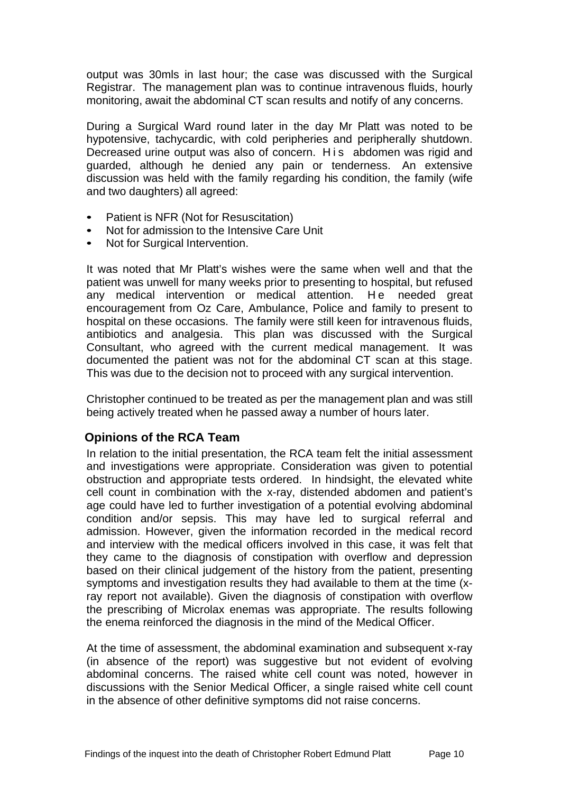output was 30mls in last hour; the case was discussed with the Surgical Registrar. The management plan was to continue intravenous fluids, hourly monitoring, await the abdominal CT scan results and notify of any concerns.

During a Surgical Ward round later in the day Mr Platt was noted to be hypotensive, tachycardic, with cold peripheries and peripherally shutdown. Decreased urine output was also of concern. H i s abdomen was rigid and guarded, although he denied any pain or tenderness. An extensive discussion was held with the family regarding his condition, the family (wife and two daughters) all agreed:

- Patient is NFR (Not for Resuscitation)
- Not for admission to the Intensive Care Unit
- Not for Surgical Intervention.

It was noted that Mr Platt's wishes were the same when well and that the patient was unwell for many weeks prior to presenting to hospital, but refused any medical intervention or medical attention. He needed great encouragement from Oz Care, Ambulance, Police and family to present to hospital on these occasions. The family were still keen for intravenous fluids, antibiotics and analgesia. This plan was discussed with the Surgical Consultant, who agreed with the current medical management. It was documented the patient was not for the abdominal CT scan at this stage. This was due to the decision not to proceed with any surgical intervention.

Christopher continued to be treated as per the management plan and was still being actively treated when he passed away a number of hours later.

## <span id="page-10-0"></span>**Opinions of the RCA Team**

In relation to the initial presentation, the RCA team felt the initial assessment and investigations were appropriate. Consideration was given to potential obstruction and appropriate tests ordered. In hindsight, the elevated white cell count in combination with the x-ray, distended abdomen and patient's age could have led to further investigation of a potential evolving abdominal condition and/or sepsis. This may have led to surgical referral and admission. However, given the information recorded in the medical record and interview with the medical officers involved in this case, it was felt that they came to the diagnosis of constipation with overflow and depression based on their clinical judgement of the history from the patient, presenting symptoms and investigation results they had available to them at the time (xray report not available). Given the diagnosis of constipation with overflow the prescribing of Microlax enemas was appropriate. The results following the enema reinforced the diagnosis in the mind of the Medical Officer.

At the time of assessment, the abdominal examination and subsequent x-ray (in absence of the report) was suggestive but not evident of evolving abdominal concerns. The raised white cell count was noted, however in discussions with the Senior Medical Officer, a single raised white cell count in the absence of other definitive symptoms did not raise concerns.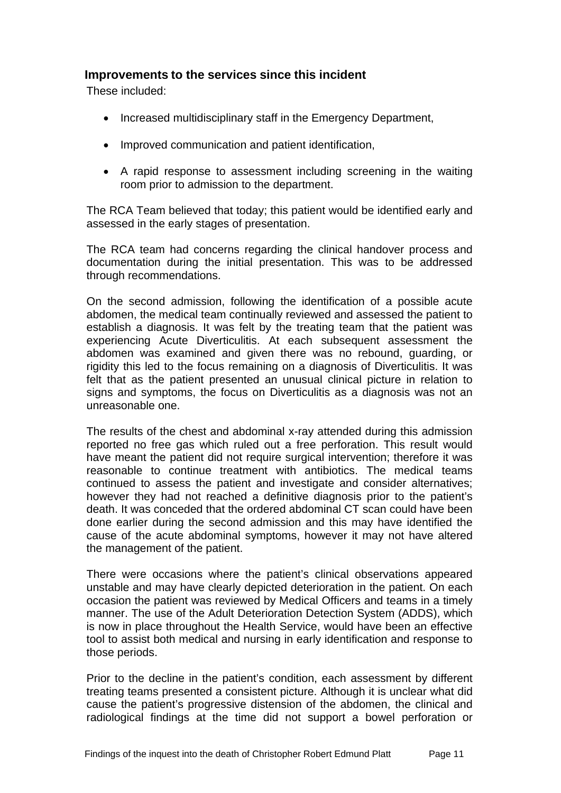## <span id="page-11-0"></span>**Improvements to the services since this incident**

These included:

- Increased multidisciplinary staff in the Emergency Department,
- Improved communication and patient identification,
- A rapid response to assessment including screening in the waiting room prior to admission to the department.

The RCA Team believed that today; this patient would be identified early and assessed in the early stages of presentation.

The RCA team had concerns regarding the clinical handover process and documentation during the initial presentation. This was to be addressed through recommendations.

On the second admission, following the identification of a possible acute abdomen, the medical team continually reviewed and assessed the patient to establish a diagnosis. It was felt by the treating team that the patient was experiencing Acute Diverticulitis. At each subsequent assessment the abdomen was examined and given there was no rebound, guarding, or rigidity this led to the focus remaining on a diagnosis of Diverticulitis. It was felt that as the patient presented an unusual clinical picture in relation to signs and symptoms, the focus on Diverticulitis as a diagnosis was not an unreasonable one.

The results of the chest and abdominal x-ray attended during this admission reported no free gas which ruled out a free perforation. This result would have meant the patient did not require surgical intervention; therefore it was reasonable to continue treatment with antibiotics. The medical teams continued to assess the patient and investigate and consider alternatives; however they had not reached a definitive diagnosis prior to the patient's death. It was conceded that the ordered abdominal CT scan could have been done earlier during the second admission and this may have identified the cause of the acute abdominal symptoms, however it may not have altered the management of the patient.

There were occasions where the patient's clinical observations appeared unstable and may have clearly depicted deterioration in the patient. On each occasion the patient was reviewed by Medical Officers and teams in a timely manner. The use of the Adult Deterioration Detection System (ADDS), which is now in place throughout the Health Service, would have been an effective tool to assist both medical and nursing in early identification and response to those periods.

Prior to the decline in the patient's condition, each assessment by different treating teams presented a consistent picture. Although it is unclear what did cause the patient's progressive distension of the abdomen, the clinical and radiological findings at the time did not support a bowel perforation or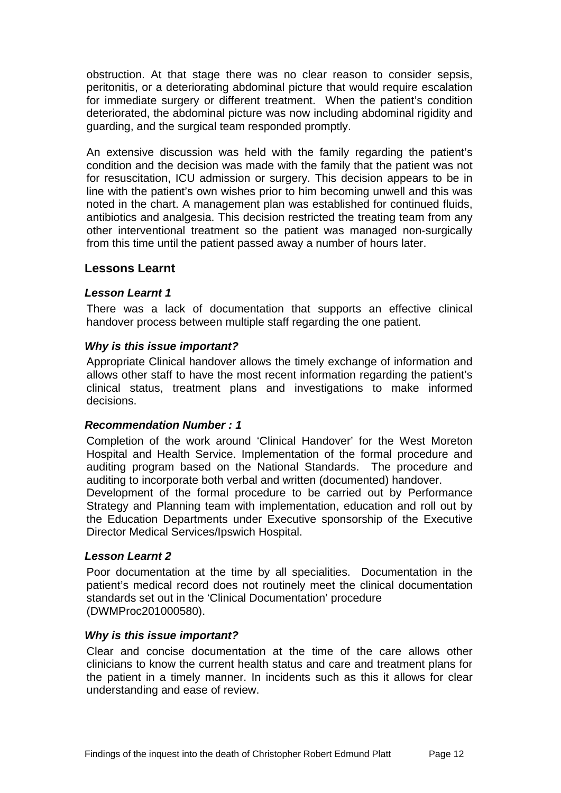obstruction. At that stage there was no clear reason to consider sepsis, peritonitis, or a deteriorating abdominal picture that would require escalation for immediate surgery or different treatment. When the patient's condition deteriorated, the abdominal picture was now including abdominal rigidity and guarding, and the surgical team responded promptly.

An extensive discussion was held with the family regarding the patient's condition and the decision was made with the family that the patient was not for resuscitation, ICU admission or surgery. This decision appears to be in line with the patient's own wishes prior to him becoming unwell and this was noted in the chart. A management plan was established for continued fluids, antibiotics and analgesia. This decision restricted the treating team from any other interventional treatment so the patient was managed non-surgically from this time until the patient passed away a number of hours later.

#### <span id="page-12-0"></span>**Lessons Learnt**

#### *Lesson Learnt 1*

There was a lack of documentation that supports an effective clinical handover process between multiple staff regarding the one patient.

#### *Why is this issue important?*

Appropriate Clinical handover allows the timely exchange of information and allows other staff to have the most recent information regarding the patient's clinical status, treatment plans and investigations to make informed decisions.

#### *Recommendation Number : 1*

Completion of the work around 'Clinical Handover' for the West Moreton Hospital and Health Service. Implementation of the formal procedure and auditing program based on the National Standards. The procedure and auditing to incorporate both verbal and written (documented) handover.

Development of the formal procedure to be carried out by Performance Strategy and Planning team with implementation, education and roll out by the Education Departments under Executive sponsorship of the Executive Director Medical Services/Ipswich Hospital.

#### *Lesson Learnt 2*

Poor documentation at the time by all specialities. Documentation in the patient's medical record does not routinely meet the clinical documentation standards set out in the 'Clinical Documentation' procedure (DWMProc201000580).

#### *Why is this issue important?*

Clear and concise documentation at the time of the care allows other clinicians to know the current health status and care and treatment plans for the patient in a timely manner. In incidents such as this it allows for clear understanding and ease of review.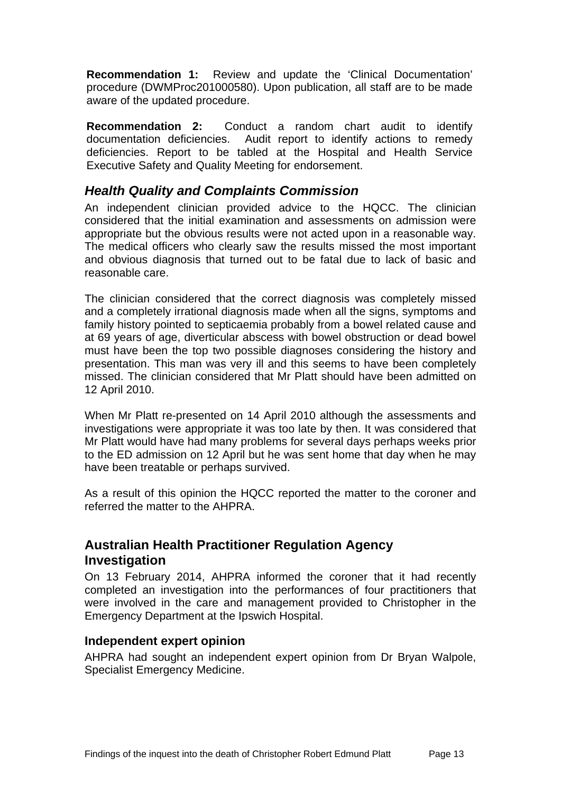**Recommendation 1:** Review and update the 'Clinical Documentation' procedure (DWMProc201000580). Upon publication, all staff are to be made aware of the updated procedure.

**Recommendation 2:** Conduct a random chart audit to identify documentation deficiencies. Audit report to identify actions to remedy deficiencies. Report to be tabled at the Hospital and Health Service Executive Safety and Quality Meeting for endorsement.

## <span id="page-13-0"></span>*Health Quality and Complaints Commission*

An independent clinician provided advice to the HQCC. The clinician considered that the initial examination and assessments on admission were appropriate but the obvious results were not acted upon in a reasonable way. The medical officers who clearly saw the results missed the most important and obvious diagnosis that turned out to be fatal due to lack of basic and reasonable care.

The clinician considered that the correct diagnosis was completely missed and a completely irrational diagnosis made when all the signs, symptoms and family history pointed to septicaemia probably from a bowel related cause and at 69 years of age, diverticular abscess with bowel obstruction or dead bowel must have been the top two possible diagnoses considering the history and presentation. This man was very ill and this seems to have been completely missed. The clinician considered that Mr Platt should have been admitted on 12 April 2010.

When Mr Platt re-presented on 14 April 2010 although the assessments and investigations were appropriate it was too late by then. It was considered that Mr Platt would have had many problems for several days perhaps weeks prior to the ED admission on 12 April but he was sent home that day when he may have been treatable or perhaps survived.

As a result of this opinion the HQCC reported the matter to the coroner and referred the matter to the AHPRA.

## <span id="page-13-1"></span>**Australian Health Practitioner Regulation Agency Investigation**

On 13 February 2014, AHPRA informed the coroner that it had recently completed an investigation into the performances of four practitioners that were involved in the care and management provided to Christopher in the Emergency Department at the Ipswich Hospital.

## <span id="page-13-2"></span>**Independent expert opinion**

AHPRA had sought an independent expert opinion from Dr Bryan Walpole, Specialist Emergency Medicine.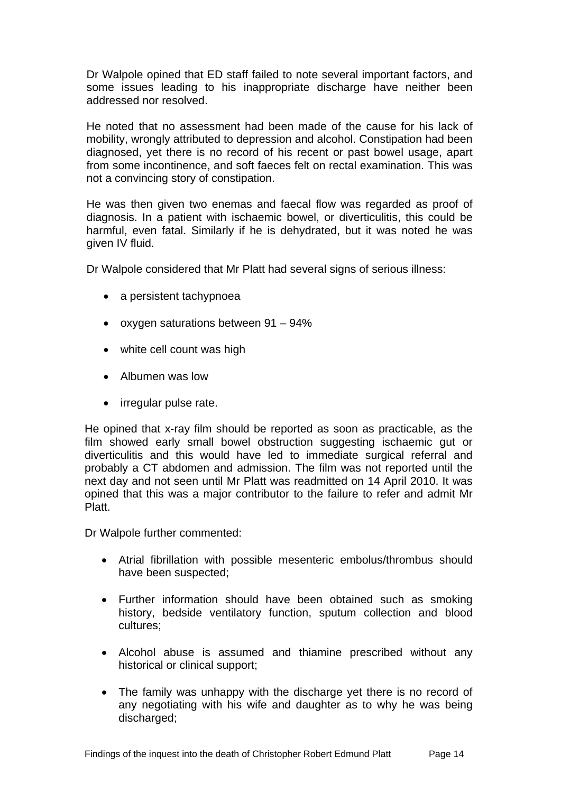Dr Walpole opined that ED staff failed to note several important factors, and some issues leading to his inappropriate discharge have neither been addressed nor resolved.

He noted that no assessment had been made of the cause for his lack of mobility, wrongly attributed to depression and alcohol. Constipation had been diagnosed, yet there is no record of his recent or past bowel usage, apart from some incontinence, and soft faeces felt on rectal examination. This was not a convincing story of constipation.

He was then given two enemas and faecal flow was regarded as proof of diagnosis. In a patient with ischaemic bowel, or diverticulitis, this could be harmful, even fatal. Similarly if he is dehydrated, but it was noted he was given IV fluid.

Dr Walpole considered that Mr Platt had several signs of serious illness:

- a persistent tachypnoea
- oxygen saturations between 91 94%
- white cell count was high
- Albumen was low
- irregular pulse rate.

He opined that x-ray film should be reported as soon as practicable, as the film showed early small bowel obstruction suggesting ischaemic gut or diverticulitis and this would have led to immediate surgical referral and probably a CT abdomen and admission. The film was not reported until the next day and not seen until Mr Platt was readmitted on 14 April 2010. It was opined that this was a major contributor to the failure to refer and admit Mr Platt.

Dr Walpole further commented:

- Atrial fibrillation with possible mesenteric embolus/thrombus should have been suspected;
- Further information should have been obtained such as smoking history, bedside ventilatory function, sputum collection and blood cultures;
- Alcohol abuse is assumed and thiamine prescribed without any historical or clinical support;
- The family was unhappy with the discharge yet there is no record of any negotiating with his wife and daughter as to why he was being discharged: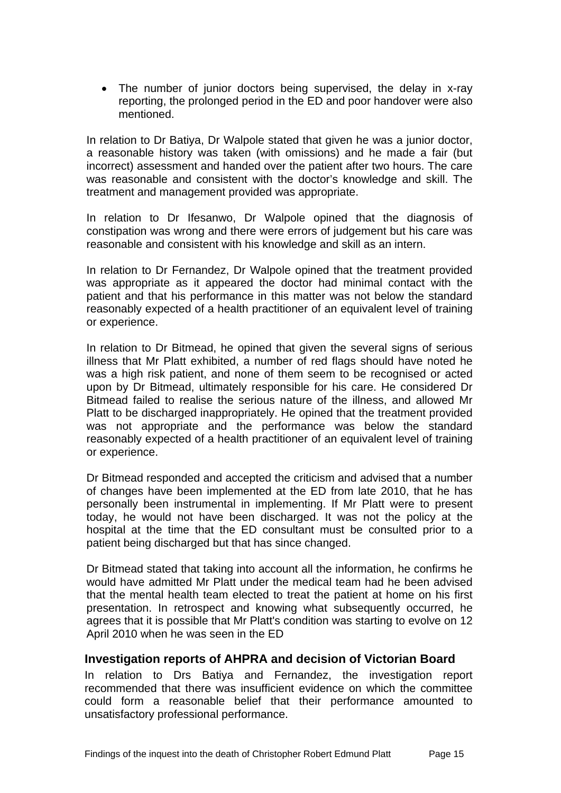• The number of junior doctors being supervised, the delay in x-ray reporting, the prolonged period in the ED and poor handover were also mentioned.

In relation to Dr Batiya, Dr Walpole stated that given he was a junior doctor, a reasonable history was taken (with omissions) and he made a fair (but incorrect) assessment and handed over the patient after two hours. The care was reasonable and consistent with the doctor's knowledge and skill. The treatment and management provided was appropriate.

In relation to Dr Ifesanwo, Dr Walpole opined that the diagnosis of constipation was wrong and there were errors of judgement but his care was reasonable and consistent with his knowledge and skill as an intern.

In relation to Dr Fernandez, Dr Walpole opined that the treatment provided was appropriate as it appeared the doctor had minimal contact with the patient and that his performance in this matter was not below the standard reasonably expected of a health practitioner of an equivalent level of training or experience.

In relation to Dr Bitmead, he opined that given the several signs of serious illness that Mr Platt exhibited, a number of red flags should have noted he was a high risk patient, and none of them seem to be recognised or acted upon by Dr Bitmead, ultimately responsible for his care. He considered Dr Bitmead failed to realise the serious nature of the illness, and allowed Mr Platt to be discharged inappropriately. He opined that the treatment provided was not appropriate and the performance was below the standard reasonably expected of a health practitioner of an equivalent level of training or experience.

Dr Bitmead responded and accepted the criticism and advised that a number of changes have been implemented at the ED from late 2010, that he has personally been instrumental in implementing. If Mr Platt were to present today, he would not have been discharged. It was not the policy at the hospital at the time that the ED consultant must be consulted prior to a patient being discharged but that has since changed.

Dr Bitmead stated that taking into account all the information, he confirms he would have admitted Mr Platt under the medical team had he been advised that the mental health team elected to treat the patient at home on his first presentation. In retrospect and knowing what subsequently occurred, he agrees that it is possible that Mr Platt's condition was starting to evolve on 12 April 2010 when he was seen in the ED

#### <span id="page-15-0"></span>**Investigation reports of AHPRA and decision of Victorian Board**

In relation to Drs Batiya and Fernandez, the investigation report recommended that there was insufficient evidence on which the committee could form a reasonable belief that their performance amounted to unsatisfactory professional performance.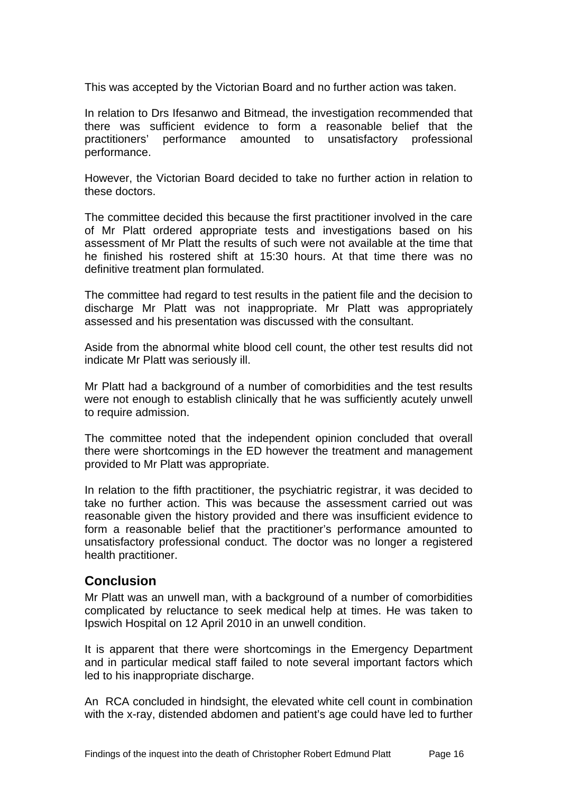This was accepted by the Victorian Board and no further action was taken.

In relation to Drs Ifesanwo and Bitmead, the investigation recommended that there was sufficient evidence to form a reasonable belief that the practitioners' performance amounted to unsatisfactory professional performance.

However, the Victorian Board decided to take no further action in relation to these doctors.

The committee decided this because the first practitioner involved in the care of Mr Platt ordered appropriate tests and investigations based on his assessment of Mr Platt the results of such were not available at the time that he finished his rostered shift at 15:30 hours. At that time there was no definitive treatment plan formulated.

The committee had regard to test results in the patient file and the decision to discharge Mr Platt was not inappropriate. Mr Platt was appropriately assessed and his presentation was discussed with the consultant.

Aside from the abnormal white blood cell count, the other test results did not indicate Mr Platt was seriously ill.

Mr Platt had a background of a number of comorbidities and the test results were not enough to establish clinically that he was sufficiently acutely unwell to require admission.

The committee noted that the independent opinion concluded that overall there were shortcomings in the ED however the treatment and management provided to Mr Platt was appropriate.

In relation to the fifth practitioner, the psychiatric registrar, it was decided to take no further action. This was because the assessment carried out was reasonable given the history provided and there was insufficient evidence to form a reasonable belief that the practitioner's performance amounted to unsatisfactory professional conduct. The doctor was no longer a registered health practitioner.

## <span id="page-16-0"></span>**Conclusion**

Mr Platt was an unwell man, with a background of a number of comorbidities complicated by reluctance to seek medical help at times. He was taken to Ipswich Hospital on 12 April 2010 in an unwell condition.

It is apparent that there were shortcomings in the Emergency Department and in particular medical staff failed to note several important factors which led to his inappropriate discharge.

An RCA concluded in hindsight, the elevated white cell count in combination with the x-ray, distended abdomen and patient's age could have led to further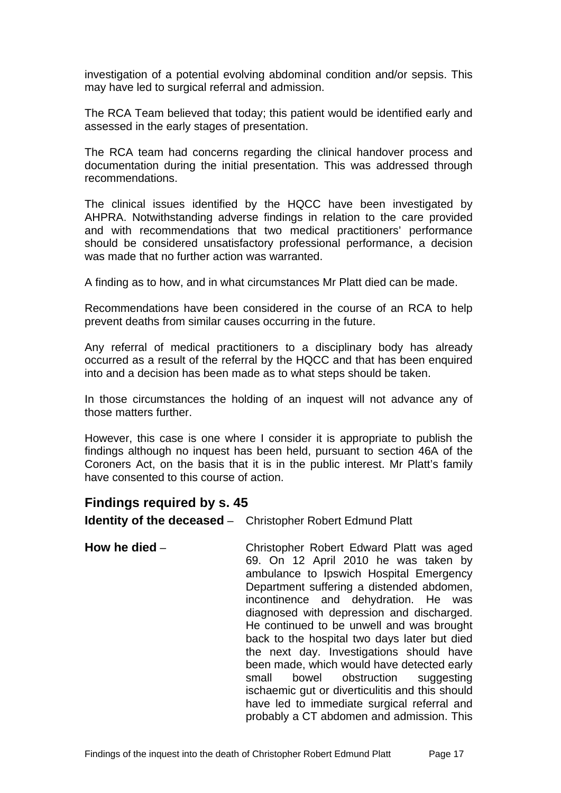investigation of a potential evolving abdominal condition and/or sepsis. This may have led to surgical referral and admission.

The RCA Team believed that today; this patient would be identified early and assessed in the early stages of presentation.

The RCA team had concerns regarding the clinical handover process and documentation during the initial presentation. This was addressed through recommendations.

The clinical issues identified by the HQCC have been investigated by AHPRA. Notwithstanding adverse findings in relation to the care provided and with recommendations that two medical practitioners' performance should be considered unsatisfactory professional performance, a decision was made that no further action was warranted.

A finding as to how, and in what circumstances Mr Platt died can be made.

Recommendations have been considered in the course of an RCA to help prevent deaths from similar causes occurring in the future.

Any referral of medical practitioners to a disciplinary body has already occurred as a result of the referral by the HQCC and that has been enquired into and a decision has been made as to what steps should be taken.

In those circumstances the holding of an inquest will not advance any of those matters further.

However, this case is one where I consider it is appropriate to publish the findings although no inquest has been held, pursuant to section 46A of the Coroners Act, on the basis that it is in the public interest. Mr Platt's family have consented to this course of action.

## <span id="page-17-0"></span>**Findings required by s. 45**

<span id="page-17-1"></span>**Identity of the deceased** – Christopher Robert Edmund Platt

<span id="page-17-2"></span>**How he died** – Christopher Robert Edward Platt was aged 69. On 12 April 2010 he was taken by ambulance to Ipswich Hospital Emergency Department suffering a distended abdomen, incontinence and dehydration. He was diagnosed with depression and discharged. He continued to be unwell and was brought back to the hospital two days later but died the next day. Investigations should have been made, which would have detected early small bowel obstruction suggesting ischaemic gut or diverticulitis and this should have led to immediate surgical referral and probably a CT abdomen and admission. This